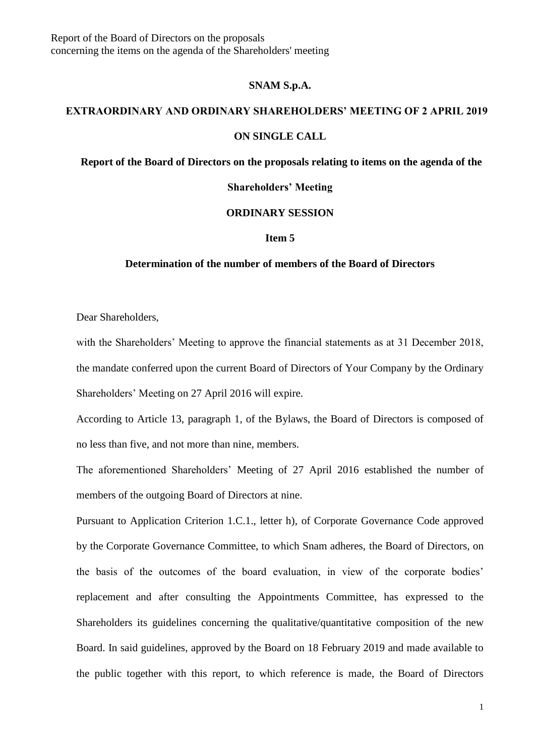# **SNAM S.p.A.**

### **EXTRAORDINARY AND ORDINARY SHAREHOLDERS' MEETING OF 2 APRIL 2019**

### **ON SINGLE CALL**

# **Report of the Board of Directors on the proposals relating to items on the agenda of the**

#### **Shareholders' Meeting**

# **ORDINARY SESSION**

#### **Item 5**

# **Determination of the number of members of the Board of Directors**

Dear Shareholders,

with the Shareholders' Meeting to approve the financial statements as at 31 December 2018, the mandate conferred upon the current Board of Directors of Your Company by the Ordinary Shareholders' Meeting on 27 April 2016 will expire.

According to Article 13, paragraph 1, of the Bylaws, the Board of Directors is composed of no less than five, and not more than nine, members.

The aforementioned Shareholders' Meeting of 27 April 2016 established the number of members of the outgoing Board of Directors at nine.

Pursuant to Application Criterion 1.C.1., letter h), of Corporate Governance Code approved by the Corporate Governance Committee, to which Snam adheres, the Board of Directors, on the basis of the outcomes of the board evaluation, in view of the corporate bodies' replacement and after consulting the Appointments Committee, has expressed to the Shareholders its guidelines concerning the qualitative/quantitative composition of the new Board. In said guidelines, approved by the Board on 18 February 2019 and made available to the public together with this report, to which reference is made, the Board of Directors